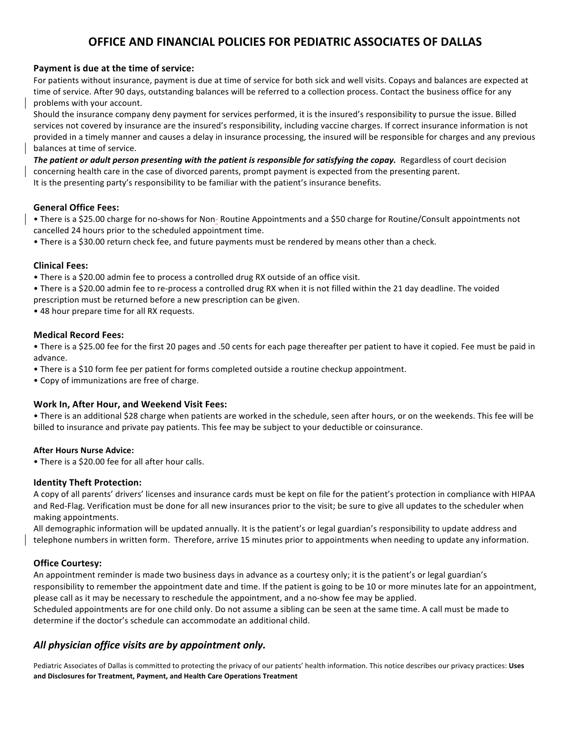## **OFFICE AND FINANCIAL POLICIES FOR PEDIATRIC ASSOCIATES OF DALLAS**

## **Payment is due at the time of service:**

For patients without insurance, payment is due at time of service for both sick and well visits. Copays and balances are expected at time of service. After 90 days, outstanding balances will be referred to a collection process. Contact the business office for any problems with your account.

Should the insurance company deny payment for services performed, it is the insured's responsibility to pursue the issue. Billed services not covered by insurance are the insured's responsibility, including vaccine charges. If correct insurance information is not provided in a timely manner and causes a delay in insurance processing, the insured will be responsible for charges and any previous balances at time of service.

**The patient or adult person presenting with the patient is responsible for satisfying the copay.** Regardless of court decision concerning health care in the case of divorced parents, prompt payment is expected from the presenting parent. It is the presenting party's responsibility to be familiar with the patient's insurance benefits.

## **General Office Fees:**

• There is a \$25.00 charge for no-shows for Non- Routine Appointments and a \$50 charge for Routine/Consult appointments not cancelled 24 hours prior to the scheduled appointment time.

• There is a \$30.00 return check fee, and future payments must be rendered by means other than a check.

## **Clinical Fees:**

• There is a \$20.00 admin fee to process a controlled drug RX outside of an office visit.

• There is a \$20.00 admin fee to re-process a controlled drug RX when it is not filled within the 21 day deadline. The voided prescription must be returned before a new prescription can be given.

• 48 hour prepare time for all RX requests.

## **Medical Record Fees:**

• There is a \$25.00 fee for the first 20 pages and .50 cents for each page thereafter per patient to have it copied. Fee must be paid in advance.

• There is a \$10 form fee per patient for forms completed outside a routine checkup appointment.

• Copy of immunizations are free of charge.

## **Work In, After Hour, and Weekend Visit Fees:**

• There is an additional \$28 charge when patients are worked in the schedule, seen after hours, or on the weekends. This fee will be billed to insurance and private pay patients. This fee may be subject to your deductible or coinsurance.

## **After Hours Nurse Advice:**

• There is a \$20.00 fee for all after hour calls.

## **Identity Theft Protection:**

A copy of all parents' drivers' licenses and insurance cards must be kept on file for the patient's protection in compliance with HIPAA and Red-Flag. Verification must be done for all new insurances prior to the visit; be sure to give all updates to the scheduler when making appointments. 

All demographic information will be updated annually. It is the patient's or legal guardian's responsibility to update address and telephone numbers in written form. Therefore, arrive 15 minutes prior to appointments when needing to update any information.

## **Office Courtesy:**

An appointment reminder is made two business days in advance as a courtesy only; it is the patient's or legal guardian's responsibility to remember the appointment date and time. If the patient is going to be 10 or more minutes late for an appointment, please call as it may be necessary to reschedule the appointment, and a no-show fee may be applied.

Scheduled appointments are for one child only. Do not assume a sibling can be seen at the same time. A call must be made to determine if the doctor's schedule can accommodate an additional child.

## *All physician office visits are by appointment only.*

Pediatric Associates of Dallas is committed to protecting the privacy of our patients' health information. This notice describes our privacy practices: Uses **and Disclosures for Treatment, Payment, and Health Care Operations Treatment**